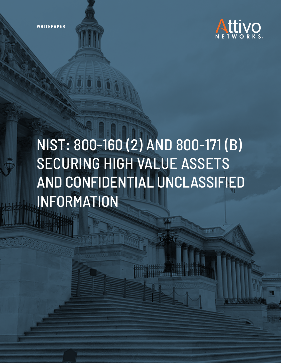**WHITEPAPER**



# NIST: 800-160 (2) AND 800-171 (B) SECURING HIGH VALUE ASSETS AND CONFIDENTIAL UNCLASSIFIED INFORMATION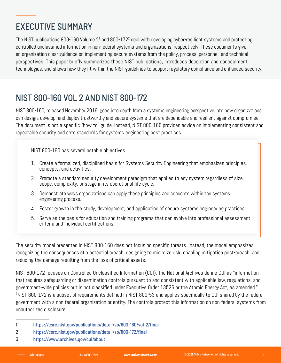## EXECUTIVE SUMMARY

The NIST publications 800-160 Volume 2 $^{\rm 1}$  and 800-172 $^{\rm 2}$  deal with developing cyber-resilient systems and protecting controlled unclassified information in non-federal systems and organizations, respectively. These documents give an organization clear guidance on implementing secure systems from the policy, process, personnel, and technical perspectives. This paper briefly summarizes these NIST publications, introduces deception and concealment technologies, and shows how they fit within the NIST guidelines to support regulatory compliance and enhanced security.

#### NIST 800-160 VOL 2 AND NIST 800-172

NIST 800-160, released November 2016, goes into depth from a systems engineering perspective into how organizations can design, develop, and deploy trustworthy and secure systems that are dependable and resilient against compromise. The document is not a specific "how-to" guide. Instead, NIST 800-160 provides advice on implementing consistent and repeatable security and sets standards for systems engineering best practices.

NIST 800-160 has several notable objectives.

- 1. Create a formalized, disciplined basis for Systems Security Engineering that emphasizes principles, concepts, and activities.
- 2. Promote a standard security development paradigm that applies to any system regardless of size, scope, complexity, or stage in its operational life cycle.
- 3. Demonstrate ways organizations can apply these principles and concepts within the systems engineering process.
- 4. Foster growth in the study, development, and application of secure systems engineering practices.
- 5. Serve as the basis for education and training programs that can evolve into professional assessment criteria and individual certifications.

The security model presented in NIST 800-160 does not focus on specific threats. Instead, the model emphasizes recognizing the consequences of a potential breach, designing to minimize risk, enabling mitigation post-breach, and reducing the damage resulting from the loss of critical assets.

NIST 800-172 focuses on Controlled Unclassified Information (CUI). The National Archives define CUI as "information that requires safeguarding or dissemination controls pursuant to and consistent with applicable law, regulations, and government-wide policies but is not classified under Executive Order 13526 or the Atomic Energy Act, as amended." 3 NIST 800-172 is a subset of requirements defined in NIST 800-53 and applies specifically to CUI shared by the federal government with a non-federal organization or entity. The controls protect this information on non-federal systems from unauthorized disclosure.

- 1 https://csrc.nist.gov/publications/detail/sp/800-160/vol-2/final
- 2 https://csrc.nist.gov/publications/detail/sp/800-172/final
- 3 https://www.archives.gov/cui/about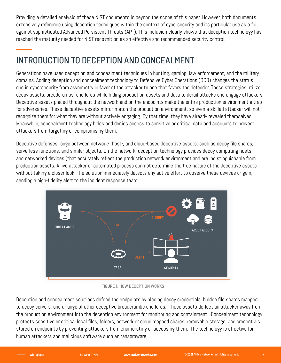Providing a detailed analysis of these NIST documents is beyond the scope of this paper. However, both documents extensively reference using deception techniques within the context of cybersecurity and its particular use as a foil against sophisticated Advanced Persistent Threats (APT). This inclusion clearly shows that deception technology has reached the maturity needed for NIST recognition as an effective and recommended security control.

## INTRODUCTION TO DECEPTION AND CONCEALMENT

Generations have used deception and concealment techniques in hunting, gaming, law enforcement, and the military domains. Adding deception and concealment technology to Defensive Cyber Operations (DCO) changes the status quo in cybersecurity from asymmetry in favor of the attacker to one that favors the defender. These strategies utilize decoy assets, breadcrumbs, and lures while hiding production assets and data to derail attacks and engage attackers. Deceptive assets placed throughout the network and on the endpoints make the entire production environment a trap for adversaries. These deceptive assets mirror-match the production environment, so even a skilled attacker will not recognize them for what they are without actively engaging. By that time, they have already revealed themselves. Meanwhile, concealment technology hides and denies access to sensitive or critical data and accounts to prevent attackers from targeting or compromising them.

Deceptive defenses range between network-, host-, and cloud-based deceptive assets, such as decoy file shares, serverless functions, and similar objects. On the network, deception technology provides decoy computing hosts and networked devices (that accurately reflect the production network environment and are indistinguishable from production assets. A live attacker or automated process can not determine the true nature of the deceptive assets without taking a closer look. The solution immediately detects any active effort to observe these devices or gain, sending a high-fidelity alert to the incident response team.



FIGURE 1: HOW DECEPTION WORKS

Deception and concealment solutions defend the endpoints by placing decoy credentials, hidden file shares mapped to decoy servers, and a range of other deceptive breadcrumbs and lures. These assets deflect an attacker away from the production environment into the deception environment for monitoring and containment. Concealment technology protects sensitive or critical local files, folders, network or cloud mapped shares, removable storage, and credentials stored on endpoints by preventing attackers from enumerating or accessing them. The technology is effective for human attackers and malicious software such as ransomware.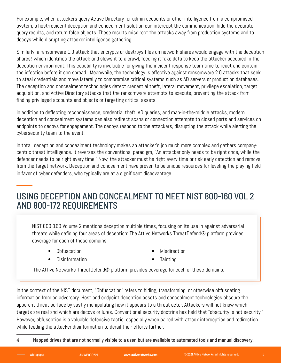For example, when attackers query Active Directory for admin accounts or other intelligence from a compromised system, a host-resident deception and concealment solution can intercept the communication, hide the accurate query results, and return false objects. These results misdirect the attacks away from production systems and to decoys while disrupting attacker intelligence gathering.

Similarly, a ransomware 1.0 attack that encrypts or destroys files on network shares would engage with the deception shares,<sup>4</sup> which identifies the attack and slows it to a crawl, feeding it fake data to keep the attacker occupied in the deception environment. This capability is invaluable for giving the incident response team time to react and contain the infection before it can spread. Meanwhile, the technology is effective against ransomware 2.0 attacks that seek to steal credentials and move laterally to compromise critical systems such as AD servers or production databases. The deception and concealment technologies detect credential theft, lateral movement, privilege escalation, target acquisition, and Active Directory attacks that the ransomware attempts to execute, preventing the attack from finding privileged accounts and objects or targeting critical assets.

In addition to deflecting reconnaissance, credential theft, AD queries, and man-in-the-middle attacks, modern deception and concealment systems can also redirect scans or connection attempts to closed ports and services on endpoints to decoys for engagement. The decoys respond to the attackers, disrupting the attack while alerting the cybersecurity team to the event.

In total, deception and concealment technology makes an attacker's job much more complex and gathers companycentric threat intelligence. It reverses the conventional paradigm, "An attacker only needs to be right once, while the defender needs to be right every time." Now, the attacker must be right every time or risk early detection and removal from the target network. Deception and concealment have proven to be unique resources for leveling the playing field in favor of cyber defenders, who typically are at a significant disadvantage.

#### USING DECEPTION AND CONCEALMENT TO MEET NIST 800-160 VOL 2 AND 800-172 REQUIREMENTS

NIST 800-160 Volume 2 mentions deception multiple times, focusing on its use in against adversarial threats while defining four areas of deception: The Attivo Networks ThreatDefend® platform provides coverage for each of these domains.

• Obfuscation

**Misdirection** 

• Disinformation

• Tainting

The Attivo Networks ThreatDefend® platform provides coverage for each of these domains.

In the context of the NIST document, "Obfuscation" refers to hiding, transforming, or otherwise obfuscating information from an adversary. Host and endpoint deception assets and concealment technologies obscure the apparent threat surface by vastly manipulating how it appears to a threat actor. Attackers will not know which targets are real and which are decoys or lures. Conventional security doctrine has held that "obscurity is not security." However, obfuscation is a valuable defensive tactic, especially when paired with attack interception and redirection while feeding the attacker disinformation to derail their efforts further.

4 Mapped drives that are not normally visible to a user, but are available to automated tools and manual discovery.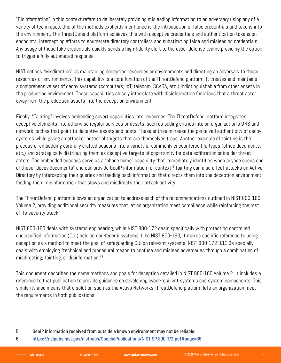"Disinformation" in this context refers to deliberately providing misleading information to an adversary using any of a variety of techniques. One of the methods explicitly mentioned is the introduction of false credentials and tokens into the environment. The ThreatDefend platform achieves this with deceptive credentials and authentication tokens on endpoints, intercepting efforts to enumerate directory controllers and substituting false and misleading credentials. Any usage of these fake credentials quickly sends a high-fidelity alert to the cyber defense teams providing the option to trigger a fully automated response.

NIST defines "Misdirection" as maintaining deception resources or environments and directing an adversary to those resources or environments. This capability is a core function of the ThreatDefend platform. It creates and maintains a comprehensive set of decoy systems (computers, IoT, telecom, SCADA, etc.) indistinguishable from other assets in the production environment. These capabilities closely interrelate with disinformation functions that a threat actor away from the production assets into the deception environment.

Finally, "Tainting" involves embedding covert capabilities into resources. The ThreatDefend platform integrates deceptive elements into otherwise regular services or assets, such as adding entries into an organization's DNS and network caches that point to deceptive assets and hosts. These entries increase the perceived authenticity of decoy systems while giving an attacker potential targets that are themselves traps. Another example of tainting is the process of embedding carefully crafted beacons into a variety of commonly encountered file types (office documents, etc.) and strategically distributing them as deceptive targets of opportunity for data exfiltration or insider threat actors. The embedded beacons serve as a "phone home" capability that immediately identifies when anyone opens one of these "decoy documents" and can provide GeoIP information for context.<sup>5</sup> Tainting can also affect attacks on Active Directory by intercepting their queries and feeding back information that directs them into the deception environment, feeding them misinformation that slows and misdirects their attack activity.

The ThreatDefend platform allows an organization to address each of the recommendations outlined in NIST 800-160 Volume 2, providing additional security measures that let an organization meet compliance while reinforcing the rest of its security stack.

NIST 800-160 deals with systems engineering, while NIST 800-172 deals specifically with protecting controlled unclassified information (CUI) held on non-federal systems. Like NIST 800-160, it makes specific reference to using deception as a method to meet the goal of safeguarding CUI on relevant systems. NIST 800-172 3.13.3e specially deals with employing "technical and procedural means to confuse and mislead adversaries through a combination of misdirecting, tainting, or disinformation."6

This document describes the same methods and goals for deception detailed in NIST 800-160 Volume 2. It includes a reference to that publication to provide guidance on developing cyber-resilient systems and system components. This similarity also means that a solution such as the Attivo Networks ThreatDefend platform lets an organization meet the requirements in both publications.

<sup>5</sup> GeoIP information received from outside a known environment may not be reliable.

<sup>6</sup> https://nvlpubs.nist.gov/nistpubs/SpecialPublications/NIST.SP.800-172.pdf#page=36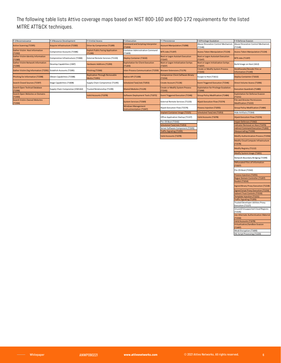The following table lists Attivo coverage maps based on NIST 800-160 and 800-172 requirements for the listed MITRE ATT&CK techniques.

| F-3 Reconnaissance                                               | F-4 Resource Development          | F-5 Initial Access                                    | F-6 Execution                                          | F-7 Persistence                                        | F-8 Privilege Escalation                                | F-9 Defense Evasion                                                 |
|------------------------------------------------------------------|-----------------------------------|-------------------------------------------------------|--------------------------------------------------------|--------------------------------------------------------|---------------------------------------------------------|---------------------------------------------------------------------|
|                                                                  |                                   |                                                       | <b>Command and Scripting Interpreter</b>               |                                                        | Abuse Eleveation Control Mechanism                      | Abuse Eleveation Control Mechanism                                  |
| <b>Active Scanning (T1595)</b>                                   | Acquire Infrastructure (T1583)    | Drive-by Compromise (T1189)                           | (T1059)                                                | <b>Account Manipulation (T1098)</b>                    | (T1548)                                                 | (T1548)                                                             |
| <b>Gather Victim Host Information</b><br>(T1592)                 | Compromise Accounts (T1586)       | <b>Exploit Public Facing Application</b><br>(T1190)   | <b>Container Adminsitration Command</b><br>(T1609)     | <b>BITS Jobs (T1197)</b>                               | <b>Access Token Manipulation (T1134)</b>                | <b>Access Token Manipulation (T1134)</b>                            |
| <b>Gather Victim Identity Information</b><br>(T1589)             | Compromise Infrastructure (T1584) | External Remote Services (T1133)                      | Deploy Container (T1610)                               | <b>Boot or Logon Autstart Execution</b><br>(T1547)     | <b>Boot or Logon Autostart Execution</b><br>(T1547)     | <b>BITS Jobs (T1197)</b>                                            |
| <b>Gather Victim Network Information</b><br>(T1590)              | Develop Capabilities (1587)       | <b>Hardware Addtions (T1200)</b>                      | <b>Exploitation for Client Execution</b><br>(T1203)    | <b>Boot or Logon Initialization Scritps</b><br>(T1037) | <b>Boot or Logon Initialization Scritps</b><br>(T1037)  | Build Image on Host (1612)                                          |
| Gather Victim Org Information (T1591) Establish Accounts (T1585) |                                   | Phishing (T1566)                                      | <b>Inter-Process Communication (T1559)</b>             | <b>Broswer Extensions (T1176)</b>                      | <b>Create or Modify System Process</b><br>(T1543)       | Deobfuscate/Decode Files or<br><b>Information (T1140)</b>           |
| Phishing for Information (T1598)                                 | Obtain Capabilities (T1588)       | <b>Replication Through Removable</b><br>Media (T1091) | Native API (T1106)                                     | Compromise Client Software Binary<br>(T1554)           | Escape to Host (T1611)                                  | Deploy Containter (T1610)                                           |
| <b>Search Closed Sources (T1597)</b>                             | Stage Capabilities (T1608)        | Supply Chain Compromise (T1195)                       | Scheduled Task/Job (T1053)                             | Create Account (T1136)                                 | <b>Event Triggered Execution (T1546)</b>                | Direct Volume Access (T1006)                                        |
| <b>Search Open Techical Database</b><br>(T1596)                  | Supply Chain Compromse (CM1162)   | Trusted Relationship (T1199)                          | <b>Shared Modules (T1129)</b>                          | <b>Create or Modify System Process</b><br>(T1543)      | <b>Exploitation for Privilege Escalation</b><br>(T1068) | <b>Execution Guardrails (T1480)</b>                                 |
| <b>Search Open Websites or Domains</b><br>(T1593)                |                                   | <b>Valid Accounts (T1078)</b>                         | Software Deployment Tools (T1072)                      | <b>Event Triggered Execution (T1546)</b>               | <b>Group Policy Modification (T1484)</b>                | <b>Exploitation for Defense Evasion</b><br>(T1211)                  |
| <b>Search Victim-Owned Websites</b><br>(T1594)                   |                                   |                                                       | <b>System Services (T1569)</b>                         | External Remote Services (T1133)                       | <b>Hijack Execution Flow (T1574)</b>                    | <b>File and Director Permissions</b><br><b>Modification (T1222)</b> |
|                                                                  |                                   |                                                       | <b>Windows Management</b><br>Instrustmentation (T1047) | Hijack Execution Flow (T1574)                          | Process Injection (T1055)                               | <b>Group Policy Modification (T1484)</b>                            |
|                                                                  |                                   |                                                       |                                                        | Implant Container Image (T1525)                        | Scheduled Task/Job (T1053)                              | Hide Artifacts (T1564)                                              |
|                                                                  |                                   |                                                       |                                                        | Office Application Startup (T1137)                     | <b>Valid Accounts (T1078)</b>                           | <b>Hijack Execution Flow (T1574)</b>                                |
|                                                                  |                                   |                                                       |                                                        | Pre-OS Boot (T1542)                                    |                                                         | <b>Impair Defenses (T1562)</b>                                      |
|                                                                  |                                   |                                                       |                                                        | Scheduled Task/Job (T1053)                             |                                                         | Indicator Removal on Host (T1070)                                   |
|                                                                  |                                   |                                                       |                                                        | Server Software Component (T1505)                      |                                                         | <b>Indirect Command Execution (T1202)</b>                           |
|                                                                  |                                   |                                                       |                                                        | Traffic Signaling (T1205)                              |                                                         | Masquerading (T1036)                                                |
|                                                                  |                                   |                                                       |                                                        | Valid Accounts (T1078)                                 |                                                         | <b>Modify Authentication Process (T1556)</b>                        |
|                                                                  |                                   |                                                       |                                                        |                                                        |                                                         | Modify Cloud Compute Infrastructure<br>(T1578)                      |
|                                                                  |                                   |                                                       |                                                        |                                                        |                                                         |                                                                     |

Obfuscated Files of Information (T1027) Pre-OS Boot (T1542) Process Injection (T1055) Rogue Domain Controller (T1207) Rootkit (T1014) Signed Binary Proxy Execution (T1218) Signed Script Proxy Execution (T1216) Subvert Trust Controls (T1533) Template Injection (T1221) Traffic Signaling (T1205) Trusted Developer Utilities Proxy Execution (T1127) Unused/Unsupported Cloud Regions

Modify Registry (T1112) Modify System Image (T1601) Network Boundary Bridging (T1599)

(T1535) Use Alternate Authentication Material (T1550) Valid Accounts (T1078) Virtualization/Sandbox Evasion (T1497) Weak Encryption (T1600) XSL Script Processing (T1220)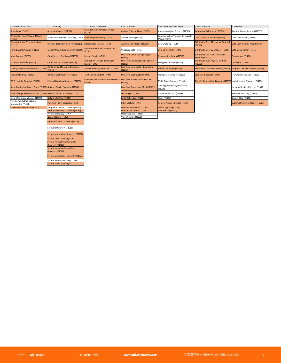| F-10 Credential Access                                                  | F-11 Discovery                                                      | F-12 Lateral Movement                                        | F-13 Collection                               | F-14 Command and Control                         | F-15 Exfiltration                                               | F-16 Impact                               |
|-------------------------------------------------------------------------|---------------------------------------------------------------------|--------------------------------------------------------------|-----------------------------------------------|--------------------------------------------------|-----------------------------------------------------------------|-------------------------------------------|
| Brute Force (T1110)                                                     | <b>Account Discovery (T1087)</b>                                    | <b>Exploitation of Remote Services</b><br>[T1210]            | <b>Archive Collected Data (T1560)</b>         | Application Layer Protocol (T1071)               | <b>Automated Exfiltration (T1020)</b>                           | Account Access Removal (T1531)            |
| <b>Credentials from Password Stores</b><br>(T1555)                      | Application Window Discovery (T1010) Internal Spear-Phising (T1534) |                                                              | Audio Capture (T1123)                         | Communication Through Removable<br>Media (T1092) | Data Transfer Size Limits (T1030)                               | Data Destruction (T1485)                  |
| <b>Exploitation for Crendential Access</b><br>(T1212)                   | Browser Bookmark Discovery (T1217)                                  | Lateral Trool Transfer (T1570)                               | <b>Automated Collection (T1119)</b>           | Data Encoding (T1132)                            | <b>Exfiltration Over Alternative Protocol</b><br>(T1048)        | Data Encrypted for Impact (T1486)         |
| <b>Forced Authentication (T1187)</b>                                    | Cloud Infrastructure Discovery (T1580                               | <b>Remote Service Session Hijacking</b><br>T1563)            | Clipboard Data (T1115)                        | Data Obfuscation (T1001)                         | Exfiltration Over C2 Channel (T1041)                            | Data Manipulation (T1565)                 |
| Input Capture (T1056)                                                   | Cloud Service Dashboard (T1538)                                     | Remote Services (T1021)                                      | Data from Cloud Storage Object<br>(T1530)     | <b>Dynamic Resolution (T1568)</b>                | <b>Exfiltration Over Other Network</b><br><b>Medium (T1011)</b> | Defacement (T1491)                        |
| Man-in-the-Middle (T1557)                                               | Cloud Service Discovery (T1526)                                     | <b>Replication Through Removable</b><br><b>Media (T1091)</b> | Data from Configuration Repository<br>(T1602) | Encrypted Channel (T1573)                        | <b>Exfiltration over Physical Medium</b><br>(T1052)             | Disk Wipe (T1561)                         |
| <b>Modify Authentication Process (T1556</b>                             | <b>Container and Resource Discovery</b><br>(T1613)                  | Software Deployment Tools (T1072)                            | Data from Information Repositories<br>T1213)  | <b>Fallback Channels (T1008)</b>                 | Exfiltration Over Web Service (T1567)                           | <b>Endpoint Denial of Service (T1499)</b> |
| <b>Network Sniffing (T1040)</b>                                         | Domain Trust Discovery (T1482)                                      | <b>Taint Shared Content (T1080)</b>                          | Data from Local System (T1005)                | Ingress Tool Transfer (T1105)                    | <b>Scheduled Transfer (T1029)</b>                               | Firmware Corruption (T1495)               |
| OS Credential Dumping (T1003)                                           | File and Directory Discovery (T1083)                                | Use Alternate Authentication Materia<br>(T1550)              | Data from Shared Network Drive<br>T1039)      | Multi-Stage Channels (T1104)                     | <b>Transfer Data to Cloud Account (T1537)</b>                   | Inhibit System Recovery (T1490)           |
| Steal Application Access Token (T1528) Network Service Scanning (T1046) |                                                                     |                                                              | Data from Removable Media (T1025)             | Non-Application Layer Protocol<br>(T1095)        |                                                                 | Network Denial of Service (T1498)         |
| Steal of Forge Kerberos Tickets (T1558) Network Share Discovery (T1135) |                                                                     |                                                              | Data Staged (T1074)                           | Non-Standard Port (T1571)                        |                                                                 | Resource Hijacking (T1496)                |
| Steal Web Session Cookie (T1539)                                        | Network Sniffing (T1040)                                            |                                                              | <b>Email Collection (T1114)</b>               | Proxy (T1090)                                    |                                                                 | Service Stop (T1489)                      |
| Two-Factor Authentication<br>Interception (T1111)                       | Password Policy Discovery (T1201)                                   |                                                              | Input Capture (T1056)                         | Remote Access Software (T1219)                   |                                                                 | System Shutdown/Reboot (T1529)            |
| <b>Unsecured Credentials (T1552)</b>                                    | Peripheral Device Discovery (T1120)                                 |                                                              | Man-in-the-Browser (T1185)                    | <b>Traffic Signaling (T1205)</b>                 |                                                                 |                                           |
|                                                                         | Permission Group Discovery (T1069)                                  |                                                              | Man-in-the-Middle (T1557)                     | Web Service (T1102)                              |                                                                 |                                           |
|                                                                         | Process Discovery (T1057)                                           |                                                              | Screen Capture (T1113)                        |                                                  |                                                                 |                                           |
|                                                                         | Query Registry (T1012)                                              |                                                              | Video Capture (T1125)                         |                                                  |                                                                 |                                           |
|                                                                         | <b>Remote System Discovery (T1018)</b>                              |                                                              |                                               |                                                  |                                                                 |                                           |

Remote System Discovery (T1018) Software Discovery (T1518) System Information Discovery (T1082) System Local Discovery (T1614) System Network Configuration Discovery (T1016) System Network Connections Discovery (T1049) System Owner/User Discovery (T1033)

System Service Discovery (T1007) System Time Discovery (T1124)

 $\sim 10^6$